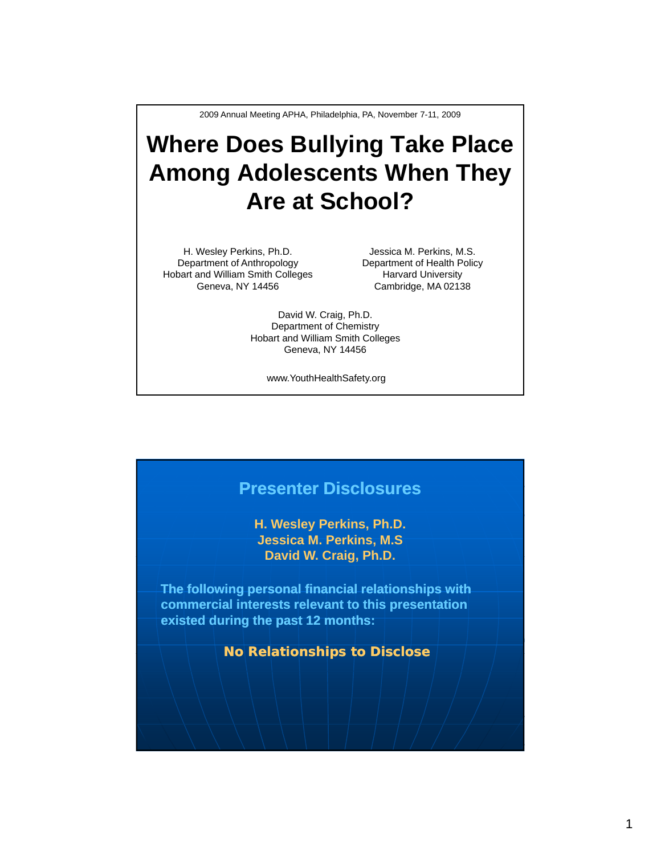2009 Annual Meeting APHA, Philadelphia, PA, November 7-11, 2009

## **Where Does Bullying Take Place Among Adolescents When They Are at School? Are at**

H. Wesley Perkins, Ph.D. Department of Anthropology Hobart and William Smith Colleges Geneva, NY 14456

Jessica M. Perkins, M.S. Department of Health Policy Harvard University Cambridge, MA 02138

David W. Craig, Ph.D. Department of Chemistry Hobart and William Smith Colleges Geneva, NY 14456

www.YouthHealthSafety.org

## **Presenter Disclosures H. Wesley Perkins, Ph.D. Jessica M. Perkins, M.S** David W. Craig, Ph.D. **The following personal financial relationships with commercial interests relevant to this presentation existed during the past 12 months: No Relationships to Disclose**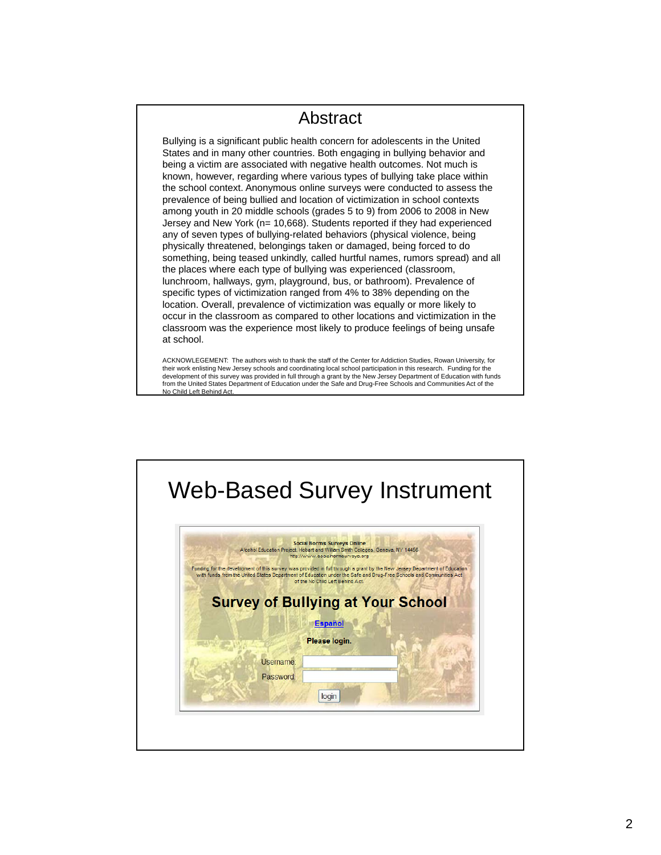## Abstract

Bullying is a significant public health concern for adolescents in the United States and in many other countries. Both engaging in bullying behavior and being a victim are associated with negative health outcomes. Not much is known, however, regarding where various types of bullying take place within the school context. Anonymous online surveys were conducted to assess the prevalence of being bullied and location of victimization in school contexts among youth in 20 middle schools (grades 5 to 9) from 2006 to 2008 in New Jersey and New York (n= 10,668). Students reported if they had experienced any of seven types of bullying-related behaviors (physical violence, being physically threatened, belongings taken or damaged, being forced to do something, being teased unkindly, called hurtful names, rumors spread) and all the places where each type of bullying was experienced (classroom, lunchroom, hallways, gym, playground, bus, or bathroom). Prevalence of specific types of victimization ranged from 4% to 38% depending on the location. Overall, prevalence of victimization was equally or more likely to occur in the classroom as compared to other locations and victimization in the classroom was the experience most likely to produce feelings of being unsafe at school.

ACKNOWLEGEMENT: The authors wish to thank the staff of the Center for Addiction Studies, Rowan University, for their work enlisting New Jersey schools and coordinating local school participation in this research. Funding for the development of this survey was provided in full through a grant by the New Jersey Department of Education with funds from the United States Department of Education under the Safe and Drug-Free Schools and Communities Act of the No Child Left Behind Act.

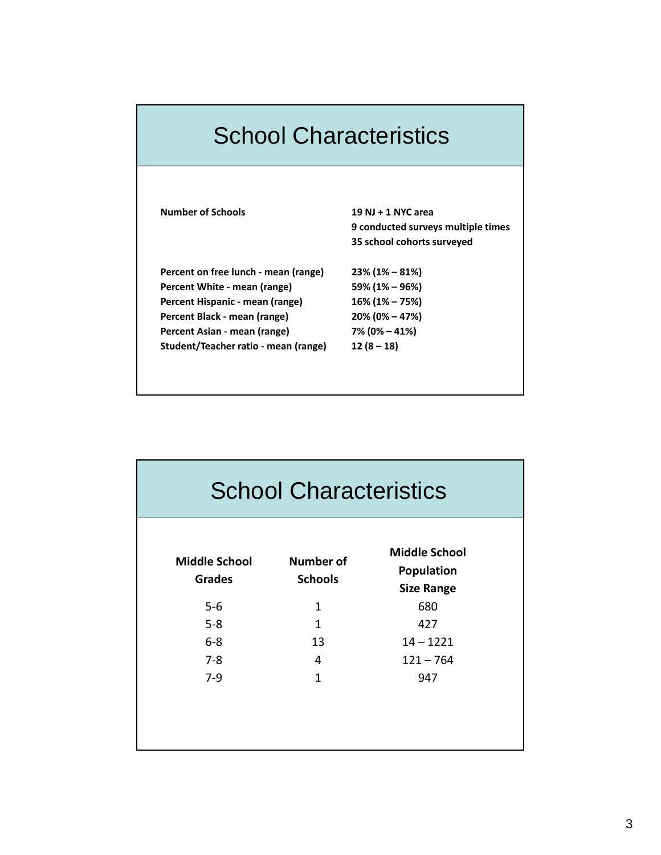| <b>School Characteristics</b>        |                                    |  |  |
|--------------------------------------|------------------------------------|--|--|
|                                      |                                    |  |  |
| <b>Number of Schools</b>             | 19 NJ + 1 NYC area                 |  |  |
|                                      | 9 conducted surveys multiple times |  |  |
|                                      | 35 school cohorts surveyed         |  |  |
| Percent on free lunch - mean (range) | $23\%$ (1% – 81%)                  |  |  |
| Percent White - mean (range)         | 59% (1% – 96%)                     |  |  |
| Percent Hispanic - mean (range)      | 16% (1% - 75%)                     |  |  |
| Percent Black - mean (range)         | $20\% (0\% - 47\%)$                |  |  |
| Percent Asian - mean (range)         | 7% (0% – 41%)                      |  |  |
| Student/Teacher ratio - mean (range) | $12(8-18)$                         |  |  |

| <b>School Characteristics</b>         |                                    |                                                         |  |  |
|---------------------------------------|------------------------------------|---------------------------------------------------------|--|--|
| <b>Middle School</b><br><b>Grades</b> | <b>Number of</b><br><b>Schools</b> | <b>Middle School</b><br>Population<br><b>Size Range</b> |  |  |
| $5-6$                                 | 1                                  | 680                                                     |  |  |
| $5 - 8$                               | 1                                  | 427                                                     |  |  |
| $6-8$                                 | 13                                 | $14 - 1221$                                             |  |  |
| $7 - 8$                               | 4                                  | $121 - 764$                                             |  |  |
| $7-9$                                 | $\mathbf{1}$                       | 947                                                     |  |  |
|                                       |                                    |                                                         |  |  |
|                                       |                                    |                                                         |  |  |
|                                       |                                    |                                                         |  |  |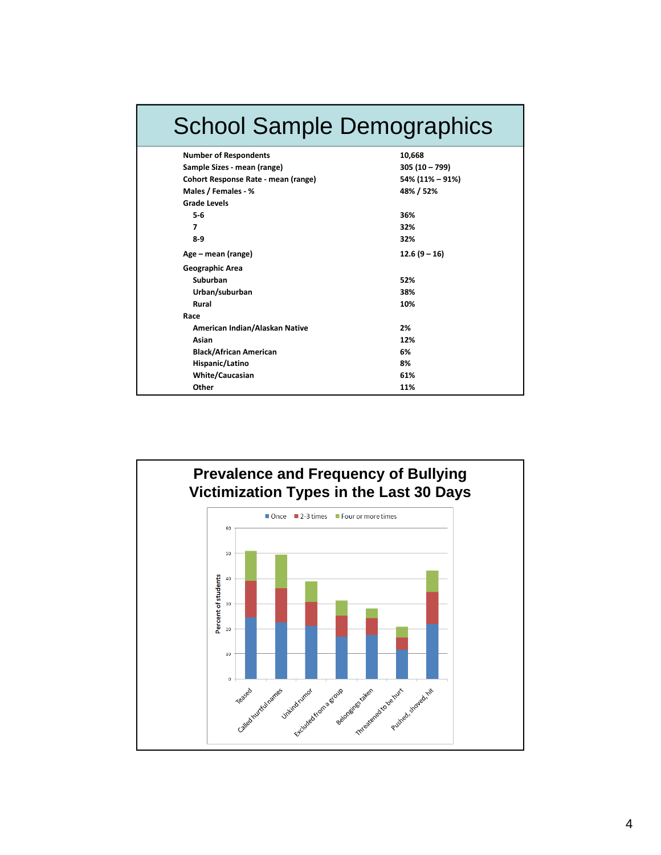| <b>School Sample Demographics</b>   |                 |  |  |  |
|-------------------------------------|-----------------|--|--|--|
| <b>Number of Respondents</b>        | 10,668          |  |  |  |
| Sample Sizes - mean (range)         | $305(10 - 799)$ |  |  |  |
| Cohort Response Rate - mean (range) | 54% (11% - 91%) |  |  |  |
| Males / Females - %                 | 48% / 52%       |  |  |  |
| <b>Grade Levels</b>                 |                 |  |  |  |
| 5-6                                 | 36%             |  |  |  |
| 7                                   | 32%             |  |  |  |
| $8-9$                               | 32%             |  |  |  |
| Age – mean (range)                  | $12.6(9 - 16)$  |  |  |  |
| Geographic Area                     |                 |  |  |  |
| Suburban                            | 52%             |  |  |  |
| Urban/suburban                      | 38%             |  |  |  |
| Rural                               | 10%             |  |  |  |
| Race                                |                 |  |  |  |
| American Indian/Alaskan Native      | 2%              |  |  |  |
| Asian                               | 12%             |  |  |  |
| <b>Black/African American</b>       | 6%              |  |  |  |
| Hispanic/Latino                     | 8%              |  |  |  |
| <b>White/Caucasian</b>              | 61%             |  |  |  |
| Other                               | 11%             |  |  |  |

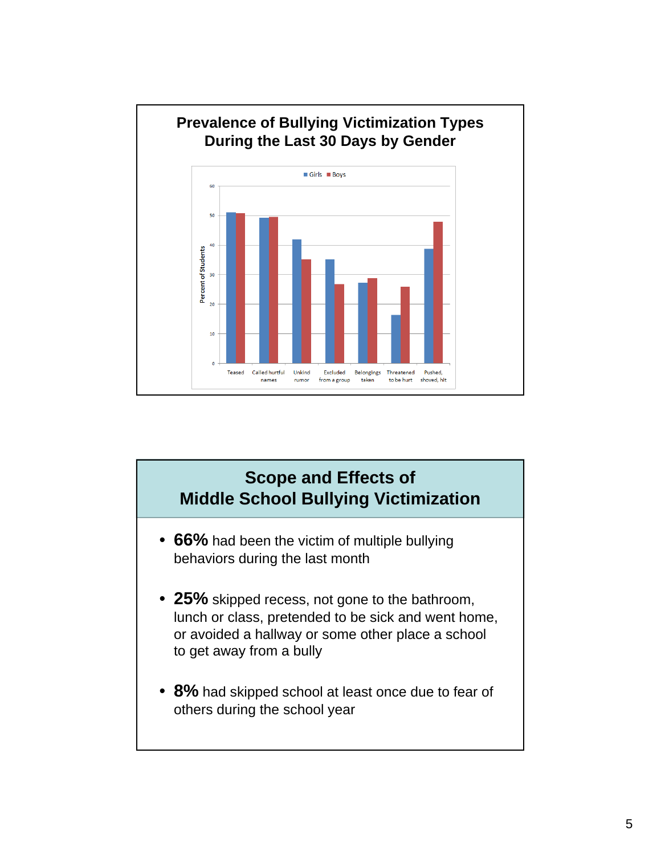

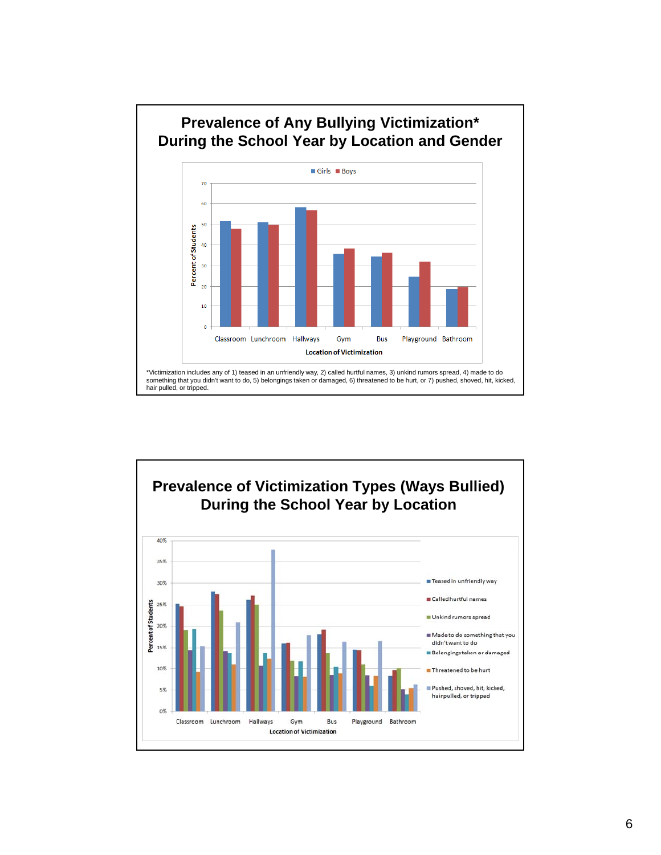

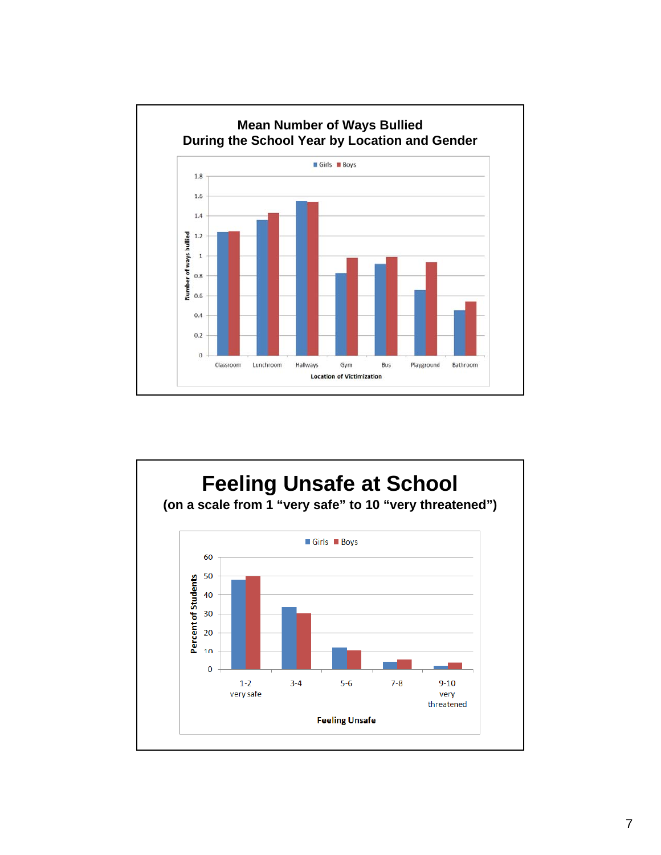